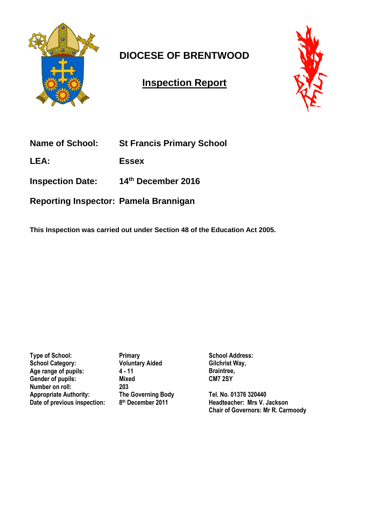

# **DIOCESE OF BRENTWOOD**

## **Inspection Report**



| <b>Name of School:</b> | <b>St Francis Primary School</b> |
|------------------------|----------------------------------|
|                        |                                  |

**LEA: Essex**

**Inspection Date: 14th December 2016** 

**Reporting Inspector: Pamela Brannigan**

**This Inspection was carried out under Section 48 of the Education Act 2005.**

**Type of School:** Primary **School Category: Voluntary Aided** Age range of pupils: 4 - 11<br>Gender of pupils: Mixed Gender of pupils: **Number on roll: 203 Appropriate Authority: The Governing Body Date of previous inspection: 8**

**th December 2011**

**School Address: Gilchrist Way, Braintree, CM7 2SY** 

**Tel. No. 01376 320440 Headteacher: Mrs V. Jackson Chair of Governors: Mr R. Carmoody**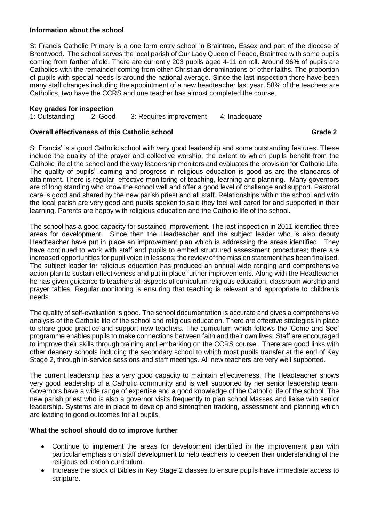### **Information about the school**

St Francis Catholic Primary is a one form entry school in Braintree, Essex and part of the diocese of Brentwood. The school serves the local parish of Our Lady Queen of Peace, Braintree with some pupils coming from farther afield. There are currently 203 pupils aged 4-11 on roll. Around 96% of pupils are Catholics with the remainder coming from other Christian denominations or other faiths. The proportion of pupils with special needs is around the national average. Since the last inspection there have been many staff changes including the appointment of a new headteacher last year. 58% of the teachers are Catholics, two have the CCRS and one teacher has almost completed the course.

### **Key grades for inspection**

1: Outstanding 2: Good 3: Requires improvement 4: Inadequate

### **Overall effectiveness of this Catholic school Grade 2**

St Francis' is a good Catholic school with very good leadership and some outstanding features. These include the quality of the prayer and collective worship, the extent to which pupils benefit from the Catholic life of the school and the way leadership monitors and evaluates the provision for Catholic Life. The quality of pupils' learning and progress in religious education is good as are the standards of attainment. There is regular, effective monitoring of teaching, learning and planning. Many governors are of long standing who know the school well and offer a good level of challenge and support. Pastoral care is good and shared by the new parish priest and all staff. Relationships within the school and with the local parish are very good and pupils spoken to said they feel well cared for and supported in their learning. Parents are happy with religious education and the Catholic life of the school.

The school has a good capacity for sustained improvement. The last inspection in 2011 identified three areas for development. Since then the Headteacher and the subject leader who is also deputy Headteacher have put in place an improvement plan which is addressing the areas identified. They have continued to work with staff and pupils to embed structured assessment procedures; there are increased opportunities for pupil voice in lessons; the review of the mission statement has been finalised. The subject leader for religious education has produced an annual wide ranging and comprehensive action plan to sustain effectiveness and put in place further improvements. Along with the Headteacher he has given guidance to teachers all aspects of curriculum religious education, classroom worship and prayer tables. Regular monitoring is ensuring that teaching is relevant and appropriate to children's needs.

The quality of self-evaluation is good. The school documentation is accurate and gives a comprehensive analysis of the Catholic life of the school and religious education. There are effective strategies in place to share good practice and support new teachers. The curriculum which follows the 'Come and See' programme enables pupils to make connections between faith and their own lives. Staff are encouraged to improve their skills through training and embarking on the CCRS course. There are good links with other deanery schools including the secondary school to which most pupils transfer at the end of Key Stage 2, through in-service sessions and staff meetings. All new teachers are very well supported.

The current leadership has a very good capacity to maintain effectiveness. The Headteacher shows very good leadership of a Catholic community and is well supported by her senior leadership team. Governors have a wide range of expertise and a good knowledge of the Catholic life of the school. The new parish priest who is also a governor visits frequently to plan school Masses and liaise with senior leadership. Systems are in place to develop and strengthen tracking, assessment and planning which are leading to good outcomes for all pupils.

### **What the school should do to improve further**

- Continue to implement the areas for development identified in the improvement plan with particular emphasis on staff development to help teachers to deepen their understanding of the religious education curriculum.
- Increase the stock of Bibles in Key Stage 2 classes to ensure pupils have immediate access to scripture.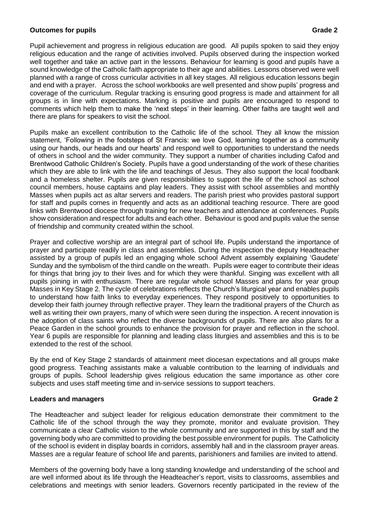### **Outcomes for pupils Grade 2 Contract Contract Contract Contract Contract Contract Contract Contract Contract Contract Contract Contract Contract Contract Contract Contract Contract Contract Contract Contract Contract Co**

Pupil achievement and progress in religious education are good. All pupils spoken to said they enjoy religious education and the range of activities involved. Pupils observed during the inspection worked well together and take an active part in the lessons. Behaviour for learning is good and pupils have a sound knowledge of the Catholic faith appropriate to their age and abilities. Lessons observed were well planned with a range of cross curricular activities in all key stages. All religious education lessons begin and end with a prayer. Across the school workbooks are well presented and show pupils' progress and coverage of the curriculum. Regular tracking is ensuring good progress is made and attainment for all groups is in line with expectations. Marking is positive and pupils are encouraged to respond to comments which help them to make the 'next steps' in their learning. Other faiths are taught well and there are plans for speakers to visit the school.

Pupils make an excellent contribution to the Catholic life of the school. They all know the mission statement, 'Following in the footsteps of St Francis: we love God, learning together as a community using our hands, our heads and our hearts' and respond well to opportunities to understand the needs of others in school and the wider community. They support a number of charities including Cafod and Brentwood Catholic Children's Society. Pupils have a good understanding of the work of these charities which they are able to link with the life and teachings of Jesus. They also support the local foodbank and a homeless shelter. Pupils are given responsibilities to support the life of the school as school council members, house captains and play leaders. They assist with school assemblies and monthly Masses when pupils act as altar servers and readers. The parish priest who provides pastoral support for staff and pupils comes in frequently and acts as an additional teaching resource. There are good links with Brentwood diocese through training for new teachers and attendance at conferences. Pupils show consideration and respect for adults and each other. Behaviour is good and pupils value the sense of friendship and community created within the school.

Prayer and collective worship are an integral part of school life. Pupils understand the importance of prayer and participate readily in class and assemblies. During the inspection the deputy Headteacher assisted by a group of pupils led an engaging whole school Advent assembly explaining 'Gaudete' Sunday and the symbolism of the third candle on the wreath. Pupils were eager to contribute their ideas for things that bring joy to their lives and for which they were thankful. Singing was excellent with all pupils joining in with enthusiasm. There are regular whole school Masses and plans for year group Masses in Key Stage 2. The cycle of celebrations reflects the Church's liturgical year and enables pupils to understand how faith links to everyday experiences. They respond positively to opportunities to develop their faith journey through reflective prayer. They learn the traditional prayers of the Church as well as writing their own prayers, many of which were seen during the inspection. A recent innovation is the adoption of class saints who reflect the diverse backgrounds of pupils. There are also plans for a Peace Garden in the school grounds to enhance the provision for prayer and reflection in the school. Year 6 pupils are responsible for planning and leading class liturgies and assemblies and this is to be extended to the rest of the school.

By the end of Key Stage 2 standards of attainment meet diocesan expectations and all groups make good progress. Teaching assistants make a valuable contribution to the learning of individuals and groups of pupils. School leadership gives religious education the same importance as other core subjects and uses staff meeting time and in-service sessions to support teachers.

### **Leaders and managers Grade 2**

The Headteacher and subject leader for religious education demonstrate their commitment to the Catholic life of the school through the way they promote, monitor and evaluate provision. They communicate a clear Catholic vision to the whole community and are supported in this by staff and the governing body who are committed to providing the best possible environment for pupils. The Catholicity of the school is evident in display boards in corridors, assembly hall and in the classroom prayer areas. Masses are a regular feature of school life and parents, parishioners and families are invited to attend.

Members of the governing body have a long standing knowledge and understanding of the school and are well informed about its life through the Headteacher's report, visits to classrooms, assemblies and celebrations and meetings with senior leaders. Governors recently participated in the review of the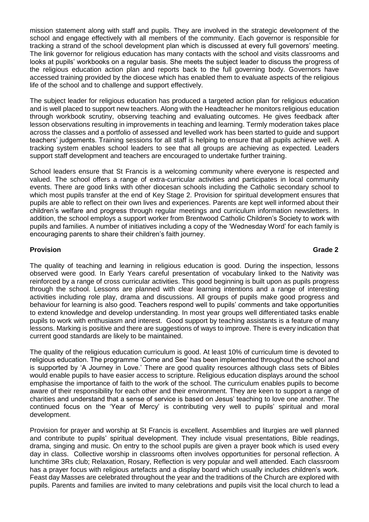mission statement along with staff and pupils. They are involved in the strategic development of the school and engage effectively with all members of the community. Each governor is responsible for tracking a strand of the school development plan which is discussed at every full governors' meeting. The link governor for religious education has many contacts with the school and visits classrooms and looks at pupils' workbooks on a regular basis. She meets the subject leader to discuss the progress of the religious education action plan and reports back to the full governing body. Governors have accessed training provided by the diocese which has enabled them to evaluate aspects of the religious life of the school and to challenge and support effectively.

The subject leader for religious education has produced a targeted action plan for religious education and is well placed to support new teachers. Along with the Headteacher he monitors religious education through workbook scrutiny, observing teaching and evaluating outcomes. He gives feedback after lesson observations resulting in improvements in teaching and learning. Termly moderation takes place across the classes and a portfolio of assessed and levelled work has been started to guide and support teachers' judgements. Training sessions for all staff is helping to ensure that all pupils achieve well. A tracking system enables school leaders to see that all groups are achieving as expected. Leaders support staff development and teachers are encouraged to undertake further training.

School leaders ensure that St Francis is a welcoming community where everyone is respected and valued. The school offers a range of extra-curricular activities and participates in local community events. There are good links with other diocesan schools including the Catholic secondary school to which most pupils transfer at the end of Key Stage 2. Provision for spiritual development ensures that pupils are able to reflect on their own lives and experiences. Parents are kept well informed about their children's welfare and progress through regular meetings and curriculum information newsletters. In addition, the school employs a support worker from Brentwood Catholic Children's Society to work with pupils and families. A number of initiatives including a copy of the 'Wednesday Word' for each family is encouraging parents to share their children's faith journey.

### **Provision Grade 2**

The quality of teaching and learning in religious education is good. During the inspection, lessons observed were good. In Early Years careful presentation of vocabulary linked to the Nativity was reinforced by a range of cross curricular activities. This good beginning is built upon as pupils progress through the school. Lessons are planned with clear learning intentions and a range of interesting activities including role play, drama and discussions. All groups of pupils make good progress and behaviour for learning is also good. Teachers respond well to pupils' comments and take opportunities to extend knowledge and develop understanding. In most year groups well differentiated tasks enable pupils to work with enthusiasm and interest. Good support by teaching assistants is a feature of many lessons. Marking is positive and there are suggestions of ways to improve. There is every indication that current good standards are likely to be maintained.

The quality of the religious education curriculum is good. At least 10% of curriculum time is devoted to religious education. The programme 'Come and See' has been implemented throughout the school and is supported by 'A Journey in Love.' There are good quality resources although class sets of Bibles would enable pupils to have easier access to scripture. Religious education displays around the school emphasise the importance of faith to the work of the school. The curriculum enables pupils to become aware of their responsibility for each other and their environment. They are keen to support a range of charities and understand that a sense of service is based on Jesus' teaching to love one another. The continued focus on the 'Year of Mercy' is contributing very well to pupils' spiritual and moral development.

Provision for prayer and worship at St Francis is excellent. Assemblies and liturgies are well planned and contribute to pupils' spiritual development. They include visual presentations, Bible readings, drama, singing and music. On entry to the school pupils are given a prayer book which is used every day in class. Collective worship in classrooms often involves opportunities for personal reflection. A lunchtime 3Rs club; Relaxation, Rosary, Reflection is very popular and well attended. Each classroom has a prayer focus with religious artefacts and a display board which usually includes children's work. Feast day Masses are celebrated throughout the year and the traditions of the Church are explored with pupils. Parents and families are invited to many celebrations and pupils visit the local church to lead a